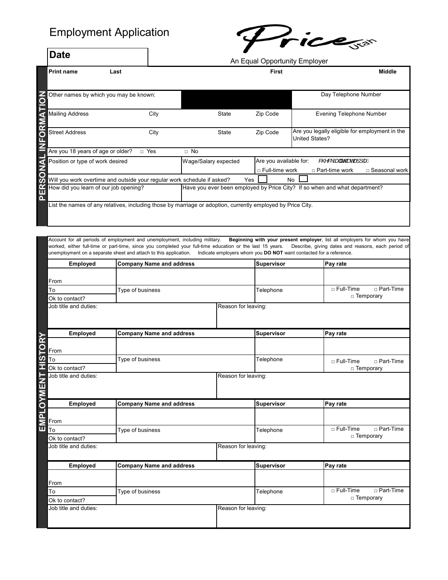## Employment Application

**Date**



An Equal Opportunity Employer

| <b>Print name</b><br>Last                                                                                   |       |                      | <b>First</b>                                    | Middle                                                                            |
|-------------------------------------------------------------------------------------------------------------|-------|----------------------|-------------------------------------------------|-----------------------------------------------------------------------------------|
| Other names by which you may be known:                                                                      |       |                      |                                                 | Day Telephone Number                                                              |
| <b>Mailing Address</b>                                                                                      | City  | <b>State</b>         | Zip Code                                        | <b>Evening Telephone Number</b>                                                   |
| <b>Street Address</b>                                                                                       | City  | State                | Zip Code                                        | Are you legally eligible for employment in the<br><b>United States?</b>           |
| Are you 18 years of age or older?                                                                           | n Yes | $\Box$ No            |                                                 |                                                                                   |
| Position or type of work desired                                                                            |       | Wage/Salary expected | Are you available for:<br>$\Box$ Full-time work | &@&\Add Acceded 1   A<br>□ Part-time work<br>□ Seasonal work                      |
| Will you work overtime and outside your regular work schedule if asked?                                     |       | Yes                  |                                                 | No                                                                                |
| How did you learn of our job opening?                                                                       |       |                      |                                                 | Have you ever been employed by Price City? If so when and what department?        |
| List the names of any relatives, including those by marriage or adoption, currently employed by Price City. |       |                      |                                                 |                                                                                   |
| coount for all periods of employment and unemployment including military                                    |       |                      |                                                 | <b>Reginning with your present employer, liet all employers for whom you hove</b> |

Account for all periods of employment and unemployment, including military. **Beginning with your present employer**, list all employers for whom you have worked, either full-time or part-time, since you completed your full-time education or the last 15 years. Describe, giving dates and reasons, each period of unemployment on a separate sheet and attach to this application. Indicate employers whom you **DO NOT** want contacted for a reference.

| Employed                  | <b>Company Name and address</b> |                     | <b>Supervisor</b> | Pay rate                        |
|---------------------------|---------------------------------|---------------------|-------------------|---------------------------------|
|                           |                                 |                     |                   |                                 |
| From                      |                                 |                     |                   |                                 |
| To                        | Type of business                |                     | Telephone         | $\Box$ Full-Time<br>□ Part-Time |
| Ok to contact?            |                                 |                     |                   | □ Temporary                     |
| Job title and duties:     |                                 | Reason for leaving: |                   |                                 |
|                           |                                 |                     |                   |                                 |
|                           |                                 |                     |                   |                                 |
| Employed<br>ORY           | <b>Company Name and address</b> |                     | Supervisor        | Pay rate                        |
|                           |                                 |                     |                   |                                 |
| From<br><b>HSL</b>        |                                 |                     |                   |                                 |
| To                        | Type of business                |                     | Telephone         | $\Box$ Full-Time<br>□ Part-Time |
| Ok to contact?            |                                 |                     |                   | □ Temporary                     |
| Job title and duties:     |                                 | Reason for leaving: |                   |                                 |
| 도<br>니그                   |                                 |                     |                   |                                 |
|                           |                                 |                     |                   |                                 |
| <b>MPLOYM</b><br>Employed | <b>Company Name and address</b> |                     | <b>Supervisor</b> | Pay rate                        |
|                           |                                 |                     |                   |                                 |
| From                      |                                 |                     |                   |                                 |
| π<br>To                   | Type of business                |                     | Telephone         | $\Box$ Full-Time<br>□ Part-Time |
| Ok to contact?            |                                 |                     |                   | □ Temporary                     |
| Job title and duties:     |                                 | Reason for leaving: |                   |                                 |
|                           |                                 |                     |                   |                                 |
| Employed                  | <b>Company Name and address</b> |                     | <b>Supervisor</b> | Pay rate                        |
|                           |                                 |                     |                   |                                 |
| From                      |                                 |                     |                   |                                 |
| To                        | Type of business                |                     | Telephone         | □ Full-Time<br>□ Part-Time      |
| Ok to contact?            |                                 |                     |                   | □ Temporary                     |
| Job title and duties:     |                                 | Reason for leaving: |                   |                                 |
|                           |                                 |                     |                   |                                 |
|                           |                                 |                     |                   |                                 |